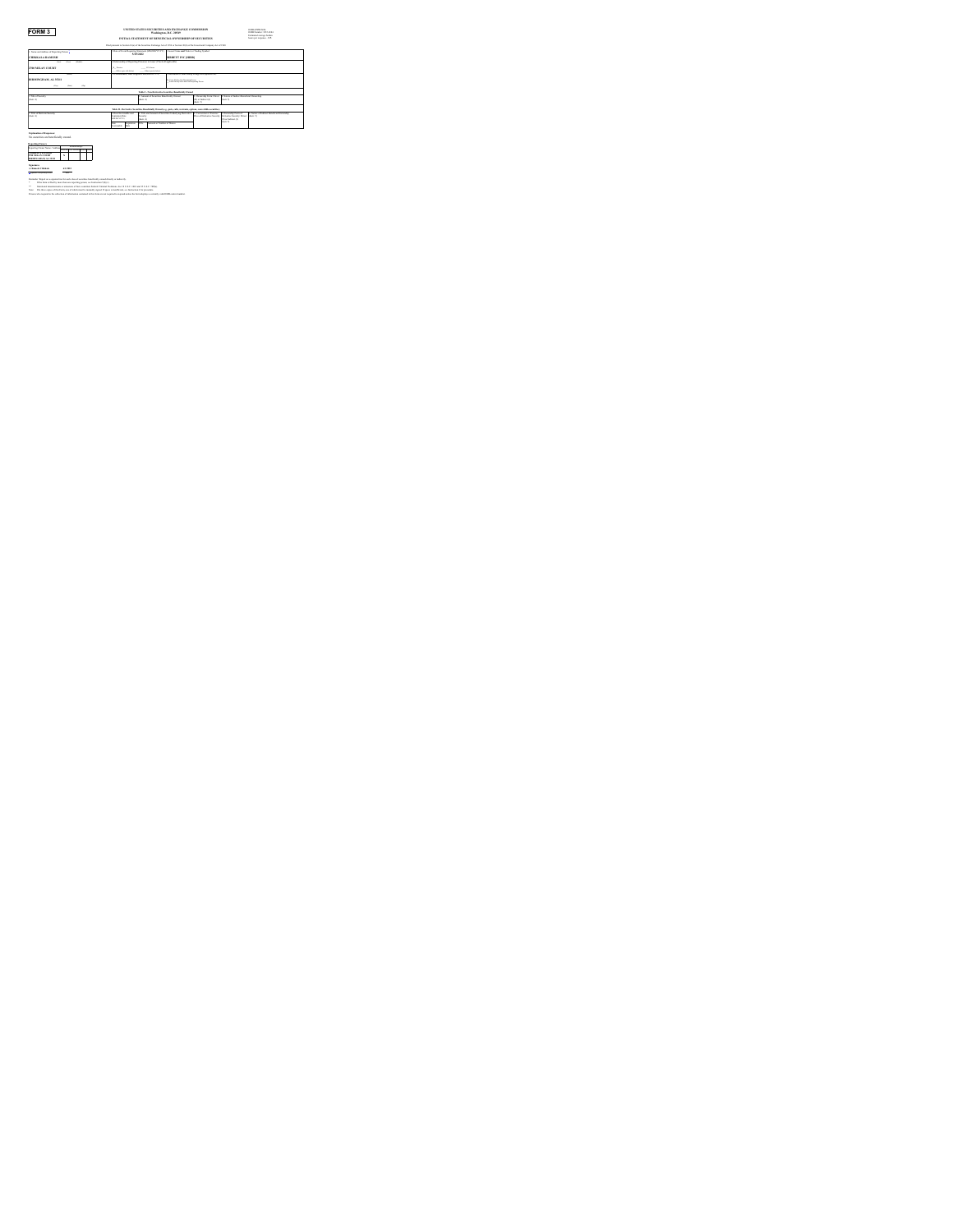**FORM 3**<br> **UNITED STATES SECURITIES AND EXCHANGE COMMISSION OMB APPROVAL OMB Number: 3235-0104**<br>
Determination and the burden average burden

| INITIAL STATEMENT OF BENEFICIAL OWNERGIBLOF SECURITIES.       |                                                                                                                                 |                                                                                           |                                                             |                                                                                        |                                                                                              |                                                                                                              | <b>Integrated gumpsy busines</b><br>loan or move- 0.5 |  |
|---------------------------------------------------------------|---------------------------------------------------------------------------------------------------------------------------------|-------------------------------------------------------------------------------------------|-------------------------------------------------------------|----------------------------------------------------------------------------------------|----------------------------------------------------------------------------------------------|--------------------------------------------------------------------------------------------------------------|-------------------------------------------------------|--|
|                                                               | Find numeral to Section 14(e) of the Securities Exchange Act of 1974 or Section 30(e) of the International Commons Act of 1988. |                                                                                           |                                                             |                                                                                        |                                                                                              |                                                                                                              |                                                       |  |
| 1. Name and Address of Reporting Person                       |                                                                                                                                 | DatraChres Bosanos Supremi (MMCO/YYYY) 11 Sour New and Tolor or Dados Roshol<br>5/25/2022 |                                                             |                                                                                        |                                                                                              |                                                                                                              |                                                       |  |
| <b>CHINE'ALA RAMESH</b>                                       |                                                                                                                                 |                                                                                           |                                                             | <b>HIRRS IT INC BERRI</b>                                                              |                                                                                              |                                                                                                              |                                                       |  |
| <b>Fax</b><br>neapo<br><b>San</b>                             |                                                                                                                                 | E Relationship of Renoving Personici to Issuer: Check of are faultier                     |                                                             |                                                                                        |                                                                                              |                                                                                                              |                                                       |  |
| <b>2700 MILAN COURT</b>                                       | A more                                                                                                                          | <b>STATISTICS</b><br>and considerable as descri-<br><b>CALIFORNIA DI MARINI</b>           |                                                             |                                                                                        |                                                                                              |                                                                                                              |                                                       |  |
| $rac{1}{2}$                                                   |                                                                                                                                 | 1. If Amendment, Date Original Filed major events.                                        |                                                             | <b>Individual or Joint Corner Pilmer to A Notice &amp; Links</b>                       |                                                                                              |                                                                                                              |                                                       |  |
| <b>HEMINGHAM, AL 35211</b>                                    |                                                                                                                                 |                                                                                           |                                                             | 5. Family School School Security Present<br>Form Suit by New York City Republic Prices |                                                                                              |                                                                                                              |                                                       |  |
| <b>STATE</b><br>service.<br><b>Service</b>                    |                                                                                                                                 |                                                                                           |                                                             |                                                                                        |                                                                                              |                                                                                                              |                                                       |  |
|                                                               |                                                                                                                                 |                                                                                           |                                                             | Total L. New Brytowing Newsletter, Brandylette Chrysler                                |                                                                                              |                                                                                                              |                                                       |  |
| 1 Tale of Sources<br><b>Dear Av</b>                           |                                                                                                                                 |                                                                                           | 2. Amount of Securities Benefacial's Owned.<br><b>Don D</b> |                                                                                        | Councillo Tyres Door<br>Due balons do<br>See fr                                              | I. Nature of Indians I Beneficial Ownership<br>dear in                                                       |                                                       |  |
|                                                               |                                                                                                                                 |                                                                                           |                                                             |                                                                                        | Tells II., Detroite Kenetie, Bearfields Orgel (ex. aut. off), warrant, estima concretibrates |                                                                                                              |                                                       |  |
| 1. Take of Devisate Security<br><b>Dear Av</b>                | Day Tamysally and<br><b>European Date</b><br>MARAYYYYY                                                                          | <b>Sources</b><br>na is                                                                   |                                                             | 3. Telly and Amenast of Necessities Underlying Derivative                              | <b>I</b> Comman in Tamour                                                                    | 1 Ownership Form of<br>Prior of Derivative Senative Derivative Senative Direct Graph III.<br>Di artistimo di | 4. Never of Indone Benefa at Ownershire               |  |
|                                                               | Date:<br>Textualizer<br>Installe                                                                                                | <b>Total</b>                                                                              | <b><i>Expenditure Structure of Winner</i></b>               |                                                                                        |                                                                                              | bea to                                                                                                       |                                                       |  |
| Enderston of Research<br>No sequities are beneficially owned. |                                                                                                                                 |                                                                                           |                                                             |                                                                                        |                                                                                              |                                                                                                              |                                                       |  |
| ____                                                          |                                                                                                                                 |                                                                                           |                                                             |                                                                                        |                                                                                              |                                                                                                              |                                                       |  |

No securities are beneficially owned. **Reporting Owners** Reporting Owner Name / Address Relationships Director10% OwnerOfficerOther **CHIKKALA RAMESH 2700 MILAN COURT BIRMINGHAM, AL <sup>35211</sup> <sup>X</sup> Signatures /s/ Ramesh Chikkala 6/1/2022** [\\*](#page-0-0)\*Signature of Reporting Person Date Reminder: Report on a separate line for each class of securities beneficially owned directly or indirectly. **\*** If the form is filed by more than one reporting person, *see* Instruction 5(b)(v). **\*\*** Intentional misstatements or omissions of facts constitute Federal Criminal Violations. *See* 18 U.S.C. 1001 and 15 U.S.C. 78ff(a). Note: File three copies of this Form, one of which must be manually signed. If space is insufficient, *see* Instruction 6 for procedure. Persons who respond to the collection of information contained in this form are not required to respond unless the form displays a currently valid OMB control number.

<span id="page-0-0"></span>